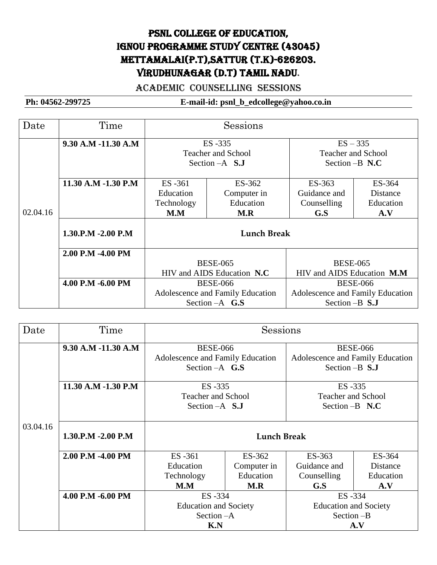# PSNL COLLEGE OF EDUCATION, IGNOU Programme study centre (43045) Mettamalai(P.T),Sattur (T.K)-626203. Virudhunagar (D.T) Tamil Nadu.

#### Academic COUNSELLING SESSIONS

| Date     | Time                | Sessions                         |                  |                                  |           |
|----------|---------------------|----------------------------------|------------------|----------------------------------|-----------|
|          | 9.30 A.M -11.30 A.M | ES-335                           |                  | $ES - 335$                       |           |
|          |                     | <b>Teacher and School</b>        |                  | <b>Teacher and School</b>        |           |
|          |                     | Section $-A$ S.J                 |                  | Section $-B$ N.C                 |           |
|          | 11.30 A.M -1.30 P.M | ES -361                          | ES-362           | ES-363                           | ES-364    |
|          |                     | Education                        | Computer in      | Guidance and                     | Distance  |
|          |                     | Technology                       | Education        | Counselling                      | Education |
| 02.04.16 |                     | M.M                              | M.R              | G.S                              | A.V       |
|          | 1.30.P.M -2.00 P.M  | <b>Lunch Break</b>               |                  |                                  |           |
|          | 2.00 P.M -4.00 PM   |                                  |                  |                                  |           |
|          |                     | <b>BESE-065</b>                  |                  | <b>BESE-065</b>                  |           |
|          |                     | HIV and AIDS Education N.C.      |                  | HIV and AIDS Education M.M.      |           |
|          | 4.00 P.M -6.00 PM   | <b>BESE-066</b>                  |                  | <b>BESE-066</b>                  |           |
|          |                     | Adolescence and Family Education |                  | Adolescence and Family Education |           |
|          |                     |                                  | Section $-A$ G.S | Section $-B$ S.J                 |           |

| Date                                   | Time                | Sessions                         |                  |                                  |                  |  |
|----------------------------------------|---------------------|----------------------------------|------------------|----------------------------------|------------------|--|
| 9.30 A.M -11.30 A.M<br><b>BESE-066</b> |                     |                                  |                  | <b>BESE-066</b>                  |                  |  |
|                                        |                     | Adolescence and Family Education |                  | Adolescence and Family Education |                  |  |
|                                        |                     |                                  | Section $-A$ G.S |                                  | Section $-B$ S.J |  |
|                                        | 11.30 A.M -1.30 P.M |                                  | ES-335           |                                  | ES -335          |  |
|                                        |                     | <b>Teacher and School</b>        |                  | <b>Teacher and School</b>        |                  |  |
|                                        |                     | Section $-A$ <b>S.J</b>          |                  | Section $-B$ N.C                 |                  |  |
| 03.04.16                               | 1.30.P.M -2.00 P.M  | <b>Lunch Break</b>               |                  |                                  |                  |  |
|                                        | 2.00 P.M -4.00 PM   | ES-361                           | ES-362           | ES-363                           | ES-364           |  |
|                                        |                     | Education                        | Computer in      | Guidance and                     | Distance         |  |
|                                        |                     | Technology                       | Education        | Counselling                      | Education        |  |
|                                        |                     | M.M                              | M.R              | G.S                              | A.V              |  |
|                                        | 4.00 P.M -6.00 PM   | ES-334                           |                  | ES-334                           |                  |  |
|                                        |                     | <b>Education and Society</b>     |                  | <b>Education and Society</b>     |                  |  |
|                                        | Section $-A$        |                                  |                  | Section -B                       |                  |  |
|                                        |                     | K.N                              |                  | A.V                              |                  |  |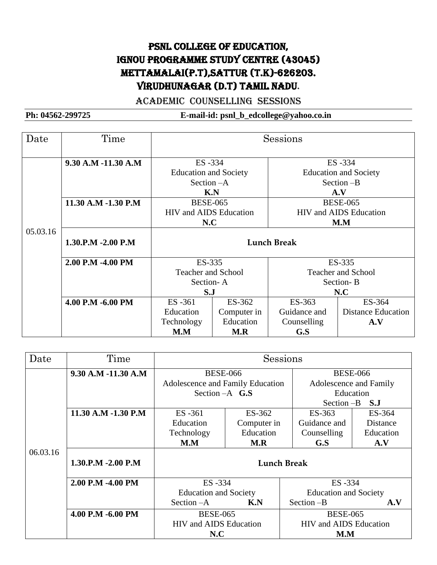# PSNL College of Education, IGNOU Programme study centre (43045) Mettamalai(P.T),Sattur (T.K)-626203. Virudhunagar (D.T) Tamil Nadu.

#### Academic COUNSELLING SESSIONS

| Date     | Time                | Sessions                      |             |                           |                               |  |
|----------|---------------------|-------------------------------|-------------|---------------------------|-------------------------------|--|
|          | 9.30 A.M -11.30 A.M | ES -334                       |             |                           | ES -334                       |  |
|          |                     | <b>Education and Society</b>  |             |                           | <b>Education and Society</b>  |  |
|          |                     | Section $-A$                  |             |                           | Section -B                    |  |
|          |                     | K.N                           |             | A.V                       |                               |  |
|          | 11.30 A.M -1.30 P.M | <b>BESE-065</b>               |             |                           | <b>BESE-065</b>               |  |
|          |                     | <b>HIV</b> and AIDS Education |             |                           | <b>HIV and AIDS Education</b> |  |
|          |                     | N.C                           |             | M.M                       |                               |  |
| 05.03.16 | 1.30.P.M -2.00 P.M  |                               |             | <b>Lunch Break</b>        |                               |  |
|          | 2.00 P.M -4.00 PM   | ES-335                        |             |                           | ES-335                        |  |
|          |                     | <b>Teacher and School</b>     |             | <b>Teacher and School</b> |                               |  |
|          |                     | Section-A                     |             | Section-B                 |                               |  |
|          |                     | S.J                           |             | N.C                       |                               |  |
|          | 4.00 P.M -6.00 PM   | ES-361                        | ES-362      | ES-363                    | ES-364                        |  |
|          |                     | Education                     | Computer in | Guidance and              | <b>Distance Education</b>     |  |
|          |                     | Technology                    | Education   | Counselling               | A.V                           |  |
|          |                     | M.M                           | M.R         | G.S                       |                               |  |

| Date     | Time                | Sessions                         |             |                               |                        |  |
|----------|---------------------|----------------------------------|-------------|-------------------------------|------------------------|--|
|          | 9.30 A.M -11.30 A.M | <b>BESE-066</b>                  |             |                               | <b>BESE-066</b>        |  |
|          |                     | Adolescence and Family Education |             |                               | Adolescence and Family |  |
|          |                     | Section $-A$ G.S                 |             |                               | Education              |  |
|          |                     |                                  |             |                               | Section -B<br>S.J      |  |
|          | 11.30 A.M -1.30 P.M | ES -361                          | ES-362      | ES-363                        | ES-364                 |  |
|          |                     | Education                        | Computer in | Guidance and                  | Distance               |  |
|          |                     | Technology                       | Education   | Counselling                   | Education              |  |
|          |                     | M.M                              | M.R         | G.S                           | A.V                    |  |
| 06.03.16 | 1.30.P.M -2.00 P.M  |                                  |             | <b>Lunch Break</b>            |                        |  |
|          | 2.00 P.M -4.00 PM   | ES-334                           |             | ES-334                        |                        |  |
|          |                     | <b>Education and Society</b>     |             | <b>Education and Society</b>  |                        |  |
|          |                     | Section $-A$                     | K.N         | Section $-B$                  | A.V                    |  |
|          | 4.00 P.M -6.00 PM   | <b>BESE-065</b>                  |             | <b>BESE-065</b>               |                        |  |
|          |                     | <b>HIV</b> and AIDS Education    |             | <b>HIV</b> and AIDS Education |                        |  |
|          |                     | N.C                              |             | M.M                           |                        |  |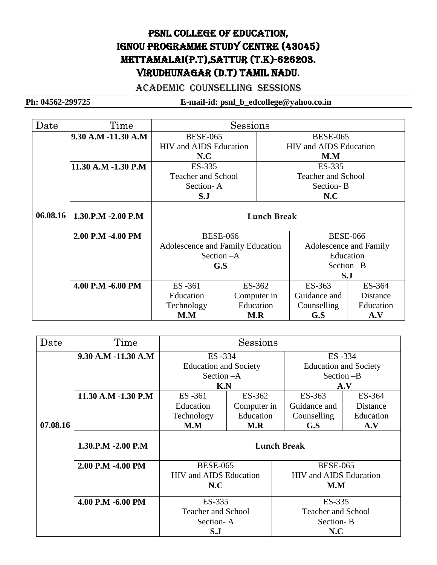# PSNL COLLEGE OF EDUCATION, IGNOU Programme study centre (43045) Mettamalai(P.T),Sattur (T.K)-626203. Virudhunagar (D.T) Tamil Nadu.

#### Academic COUNSELLING SESSIONS

| Date     | Time                | Sessions                                               |             |                        |                               |                 |
|----------|---------------------|--------------------------------------------------------|-------------|------------------------|-------------------------------|-----------------|
|          | 9.30 A.M -11.30 A.M | <b>BESE-065</b>                                        |             |                        | <b>BESE-065</b>               |                 |
|          |                     | <b>HIV</b> and AIDS Education                          |             |                        | <b>HIV</b> and AIDS Education |                 |
|          |                     | N.C                                                    |             |                        | M.M                           |                 |
|          | 11.30 A.M -1.30 P.M | ES-335                                                 | ES-335      |                        |                               |                 |
|          |                     | <b>Teacher and School</b><br><b>Teacher and School</b> |             |                        |                               |                 |
|          |                     |                                                        | Section-A   |                        | Section-B                     |                 |
|          |                     | S.J<br>N.C                                             |             |                        |                               |                 |
| 06.08.16 | 1.30.P.M -2.00 P.M  | <b>Lunch Break</b>                                     |             |                        |                               |                 |
|          | 2.00 P.M -4.00 PM   | <b>BESE-066</b>                                        |             | <b>BESE-066</b>        |                               |                 |
|          |                     | Adolescence and Family Education                       |             | Adolescence and Family |                               |                 |
|          |                     | Section - A                                            |             | Education              |                               |                 |
|          |                     | G.S                                                    |             | Section -B             |                               |                 |
|          |                     |                                                        |             | S.J                    |                               |                 |
|          | 4.00 P.M -6.00 PM   | ES-361<br>ES-362                                       |             | ES-363                 | ES-364                        |                 |
|          |                     | Education                                              | Computer in |                        | Guidance and                  | <b>Distance</b> |
|          |                     | Technology                                             | Education   |                        | Counselling                   | Education       |
|          |                     | M.M                                                    | M.R         |                        | G.S                           | A.V             |

| Date     | Time                | Sessions                      |             |                               |           |
|----------|---------------------|-------------------------------|-------------|-------------------------------|-----------|
|          | 9.30 A.M -11.30 A.M | ES -334                       |             | ES -334                       |           |
|          |                     | <b>Education and Society</b>  |             | <b>Education and Society</b>  |           |
|          |                     | Section - A                   |             | Section -B                    |           |
|          |                     | K.N                           |             |                               | A.V       |
|          | 11.30 A.M -1.30 P.M | ES -361                       | ES-362      | ES-363                        | ES-364    |
|          |                     | Education                     | Computer in | Guidance and                  | Distance  |
|          |                     | Technology                    | Education   | Counselling                   | Education |
| 07.08.16 |                     | M.M                           | M.R         | G.S                           | A.V       |
|          | 1.30.P.M -2.00 P.M  | <b>Lunch Break</b>            |             |                               |           |
|          | 2.00 P.M -4.00 PM   | <b>BESE-065</b>               |             | <b>BESE-065</b>               |           |
|          |                     | <b>HIV</b> and AIDS Education |             | <b>HIV</b> and AIDS Education |           |
|          |                     | N.C                           |             | M.M                           |           |
|          | 4.00 P.M -6.00 PM   | ES-335                        |             | ES-335                        |           |
|          |                     | <b>Teacher and School</b>     |             | <b>Teacher and School</b>     |           |
|          |                     | Section-A                     |             | Section-B                     |           |
|          |                     | S.J                           |             | N.C                           |           |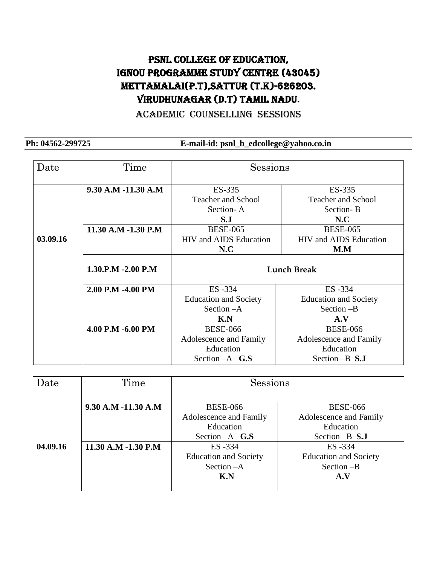### PSNL College of Education, IGNOU Programme study centre (43045) Mettamalai(P.T),Sattur (T.K)-626203. Virudhunagar (D.T) Tamil Nadu.

Academic COUNSELLING SESSIONS

| Date     | Time                | Sessions                                                     |                               |  |
|----------|---------------------|--------------------------------------------------------------|-------------------------------|--|
|          | 9.30 A.M -11.30 A.M | ES-335                                                       | ES-335                        |  |
|          |                     | <b>Teacher and School</b>                                    | <b>Teacher and School</b>     |  |
|          |                     | Section-A                                                    | Section-B                     |  |
|          |                     | S.J                                                          | N.C                           |  |
|          | 11.30 A.M -1.30 P.M | <b>BESE-065</b>                                              | <b>BESE-065</b>               |  |
| 03.09.16 |                     | <b>HIV</b> and AIDS Education                                | <b>HIV</b> and AIDS Education |  |
|          |                     | N.C                                                          | M.M                           |  |
|          | 1.30.P.M -2.00 P.M  | <b>Lunch Break</b>                                           |                               |  |
|          | 2.00 P.M -4.00 PM   | ES-334                                                       | ES-334                        |  |
|          |                     | <b>Education and Society</b><br><b>Education and Society</b> |                               |  |
|          |                     | Section $-A$<br>Section $-B$                                 |                               |  |
|          |                     | K.N<br>A.V                                                   |                               |  |
|          | 4.00 P.M -6.00 PM   | <b>BESE-066</b><br><b>BESE-066</b>                           |                               |  |
|          |                     | Adolescence and Family<br>Adolescence and Family             |                               |  |
|          |                     | Education<br>Education                                       |                               |  |
|          |                     | Section $-A$ G.S                                             | Section $-B$ S.J              |  |

| Date                            | Time                    | Sessions                           |                              |  |
|---------------------------------|-------------------------|------------------------------------|------------------------------|--|
|                                 |                         |                                    |                              |  |
|                                 | $9.30$ A.M $-11.30$ A.M | <b>BESE-066</b><br><b>BESE-066</b> |                              |  |
|                                 |                         | Adolescence and Family             | Adolescence and Family       |  |
|                                 | Education               |                                    | Education                    |  |
|                                 |                         | Section $-A$ G.S                   | Section $-B$ S.J             |  |
| 04.09.16<br>11.30 A.M -1.30 P.M |                         | ES-334                             | ES -334                      |  |
|                                 |                         | <b>Education and Society</b>       | <b>Education and Society</b> |  |
|                                 |                         | Section - A                        | Section -B                   |  |
|                                 |                         | K.N<br>A.V                         |                              |  |
|                                 |                         |                                    |                              |  |